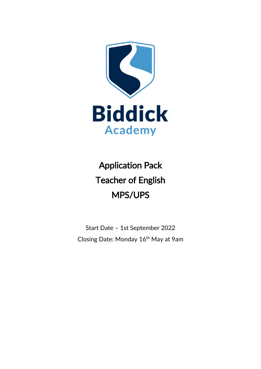

Application Pack Teacher of English MPS/UPS

Start Date – 1st September 2022 Closing Date: Monday 16th May at 9am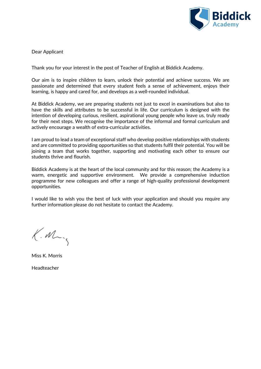

Dear Applicant

Thank you for your interest in the post of Teacher of English at Biddick Academy.

Our aim is to inspire children to learn, unlock their potential and achieve success. We are passionate and determined that every student feels a sense of achievement, enjoys their learning, is happy and cared for, and develops as a well-rounded individual.

At Biddick Academy, we are preparing students not just to excel in examinations but also to have the skills and attributes to be successful in life. Our curriculum is designed with the intention of developing curious, resilient, aspirational young people who leave us, truly ready for their next steps. We recognise the importance of the informal and formal curriculum and actively encourage a wealth of extra-curricular activities.

I am proud to lead a team of exceptional staff who develop positive relationships with students and are committed to providing opportunities so that students fulfil their potential. You will be joining a team that works together, supporting and motivating each other to ensure our students thrive and flourish.

Biddick Academy is at the heart of the local community and for this reason; the Academy is a warm, energetic and supportive environment. We provide a comprehensive induction programme for new colleagues and offer a range of high-quality professional development opportunities.

I would like to wish you the best of luck with your application and should you require any further information please do not hesitate to contact the Academy.

 $K.M$ 

Miss K. Morris

Headteacher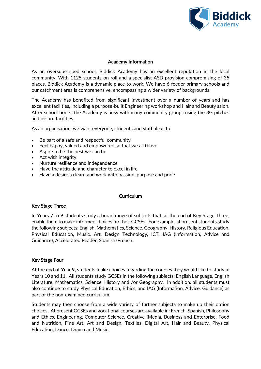

## Academy Information

As an oversubscribed school, Biddick Academy has an excellent reputation in the local community. With 1125 students on roll and a specialist ASD provision compromising of 35 places, Biddick Academy is a dynamic place to work. We have 6 feeder primary schools and our catchment area is comprehensive, encompassing a wider variety of backgrounds.

The Academy has benefited from significant investment over a number of years and has excellent facilities, including a purpose-built Engineering workshop and Hair and Beauty salon. After school hours, the Academy is busy with many community groups using the 3G pitches and leisure facilities.

As an organisation, we want everyone, students and staff alike, to:

- Be part of a safe and respectful community
- Feel happy, valued and empowered so that we all thrive
- Aspire to be the best we can be
- Act with integrity
- Nurture resilience and independence
- Have the attitude and character to excel in life
- Have a desire to learn and work with passion, purpose and pride

### **Curriculum**

### Key Stage Three

In Years 7 to 9 students study a broad range of subjects that, at the end of Key Stage Three, enable them to make informed choices for their GCSEs. For example, at present students study the following subjects: English, Mathematics, Science, Geography, History, Religious Education, Physical Education, Music, Art, Design Technology, ICT, IAG (Information, Advice and Guidance), Accelerated Reader, Spanish/French.

### Key Stage Four

At the end of Year 9, students make choices regarding the courses they would like to study in Years 10 and 11. All students study GCSEs in the following subjects: English Language, English Literature, Mathematics, Science, History and /or Geography. In addition, all students must also continue to study Physical Education, Ethics, and IAG (Information, Advice, Guidance) as part of the non-examined curriculum.

Students may then choose from a wide variety of further subjects to make up their option choices. At present GCSEs and vocational courses are available in: French, Spanish, Philosophy and Ethics, Engineering, Computer Science, Creative iMedia, Business and Enterprise, Food and Nutrition, Fine Art, Art and Design, Textiles, Digital Art, Hair and Beauty, Physical Education, Dance, Drama and Music.